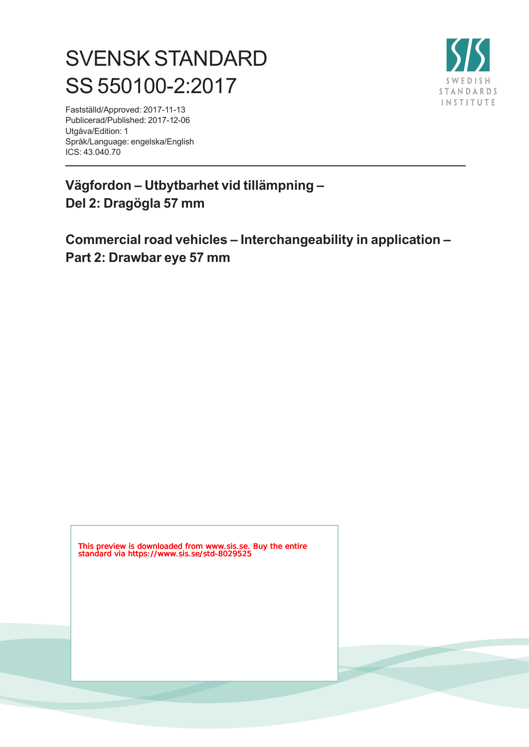# SVENSK STANDARD SS 550100-2:2017



Fastställd/Approved: 2017-11-13 Publicerad/Published: 2017-12-06 Utgåva/Edition: 1 Språk/Language: engelska/English ICS: 43.040.70

**Vägfordon – Utbytbarhet vid tillämpning – Del 2: Dragögla 57 mm**

**Commercial road vehicles – Interchangeability in application – Part 2: Drawbar eye 57 mm**

This preview is downloaded from www.sis.se. Buy the entire standard via https://www.sis.se/std-8029525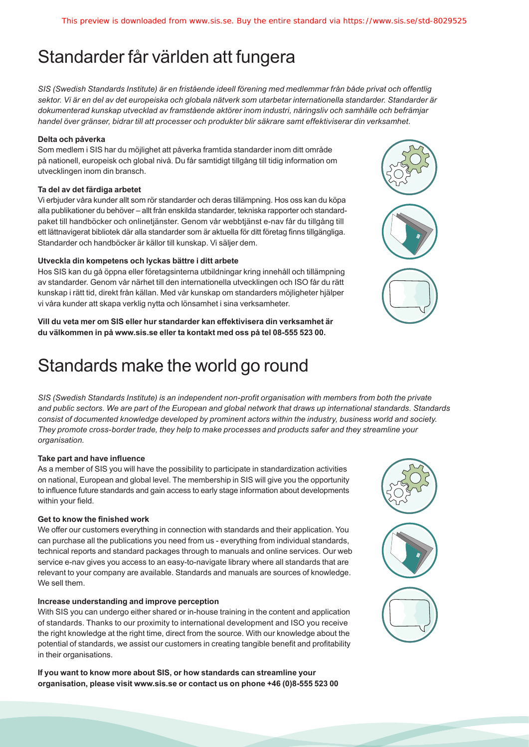## Standarder får världen att fungera

*SIS (Swedish Standards Institute) är en fristående ideell förening med medlemmar från både privat och offentlig sektor. Vi är en del av det europeiska och globala nätverk som utarbetar internationella standarder. Standarder är dokumenterad kunskap utvecklad av framstående aktörer inom industri, näringsliv och samhälle och befrämjar handel över gränser, bidrar till att processer och produkter blir säkrare samt effektiviserar din verksamhet.* 

#### **Delta och påverka**

Som medlem i SIS har du möjlighet att påverka framtida standarder inom ditt område på nationell, europeisk och global nivå. Du får samtidigt tillgång till tidig information om utvecklingen inom din bransch.

#### **Ta del av det färdiga arbetet**

Vi erbjuder våra kunder allt som rör standarder och deras tillämpning. Hos oss kan du köpa alla publikationer du behöver – allt från enskilda standarder, tekniska rapporter och standardpaket till handböcker och onlinetjänster. Genom vår webbtjänst e-nav får du tillgång till ett lättnavigerat bibliotek där alla standarder som är aktuella för ditt företag finns tillgängliga. Standarder och handböcker är källor till kunskap. Vi säljer dem.

#### **Utveckla din kompetens och lyckas bättre i ditt arbete**

Hos SIS kan du gå öppna eller företagsinterna utbildningar kring innehåll och tillämpning av standarder. Genom vår närhet till den internationella utvecklingen och ISO får du rätt kunskap i rätt tid, direkt från källan. Med vår kunskap om standarders möjligheter hjälper vi våra kunder att skapa verklig nytta och lönsamhet i sina verksamheter.

**Vill du veta mer om SIS eller hur standarder kan effektivisera din verksamhet är du välkommen in på www.sis.se eller ta kontakt med oss på tel 08-555 523 00.**

## Standards make the world go round

*SIS (Swedish Standards Institute) is an independent non-profit organisation with members from both the private and public sectors. We are part of the European and global network that draws up international standards. Standards consist of documented knowledge developed by prominent actors within the industry, business world and society. They promote cross-border trade, they help to make processes and products safer and they streamline your organisation.*

#### **Take part and have influence**

As a member of SIS you will have the possibility to participate in standardization activities on national, European and global level. The membership in SIS will give you the opportunity to influence future standards and gain access to early stage information about developments within your field.

#### **Get to know the finished work**

We offer our customers everything in connection with standards and their application. You can purchase all the publications you need from us - everything from individual standards, technical reports and standard packages through to manuals and online services. Our web service e-nav gives you access to an easy-to-navigate library where all standards that are relevant to your company are available. Standards and manuals are sources of knowledge. We sell them.

#### **Increase understanding and improve perception**

With SIS you can undergo either shared or in-house training in the content and application of standards. Thanks to our proximity to international development and ISO you receive the right knowledge at the right time, direct from the source. With our knowledge about the potential of standards, we assist our customers in creating tangible benefit and profitability in their organisations.

**If you want to know more about SIS, or how standards can streamline your organisation, please visit www.sis.se or contact us on phone +46 (0)8-555 523 00**



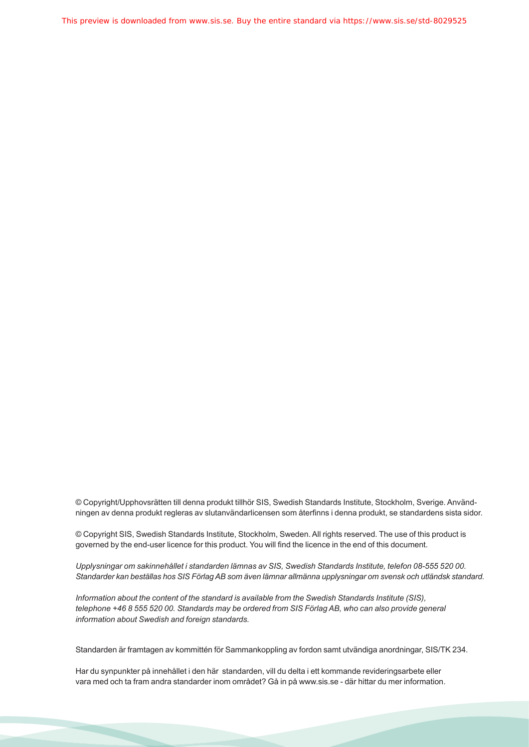This preview is downloaded from www.sis.se. Buy the entire standard via https://www.sis.se/std-8029525

© Copyright/Upphovsrätten till denna produkt tillhör SIS, Swedish Standards Institute, Stockholm, Sverige. Användningen av denna produkt regleras av slutanvändarlicensen som återfinns i denna produkt, se standardens sista sidor.

© Copyright SIS, Swedish Standards Institute, Stockholm, Sweden. All rights reserved. The use of this product is governed by the end-user licence for this product. You will find the licence in the end of this document.

*Upplysningar om sakinnehållet i standarden lämnas av SIS, Swedish Standards Institute, telefon 08-555 520 00. Standarder kan beställas hos SIS Förlag AB som även lämnar allmänna upplysningar om svensk och utländsk standard.*

*Information about the content of the standard is available from the Swedish Standards Institute (SIS), telephone +46 8 555 520 00. Standards may be ordered from SIS Förlag AB, who can also provide general information about Swedish and foreign standards.*

Standarden är framtagen av kommittén för Sammankoppling av fordon samt utvändiga anordningar, SIS/TK 234.

Har du synpunkter på innehållet i den här standarden, vill du delta i ett kommande revideringsarbete eller vara med och ta fram andra standarder inom området? Gå in på www.sis.se - där hittar du mer information.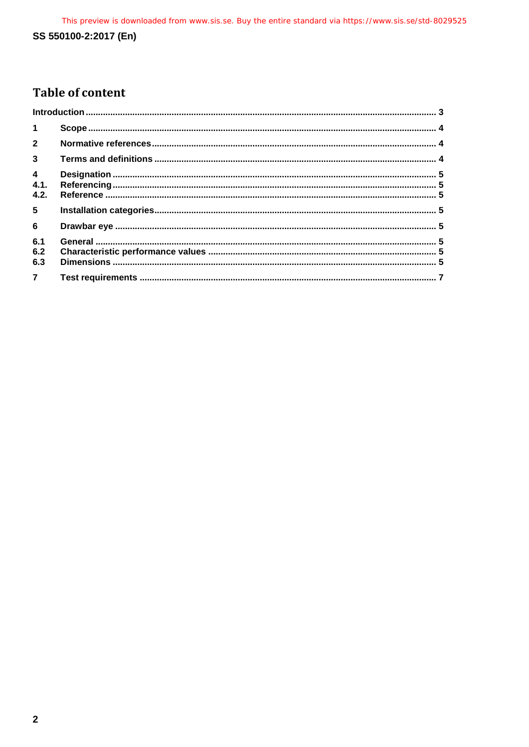## **Table of content**

| $\mathbf{1}$                   |  |
|--------------------------------|--|
| $2^{\circ}$                    |  |
| $\overline{3}$                 |  |
| $\overline{4}$<br>4.1.<br>4.2. |  |
| 5 <sub>5</sub>                 |  |
| $6\phantom{1}$                 |  |
| 6.1<br>6.2<br>6.3              |  |
| $\overline{7}$                 |  |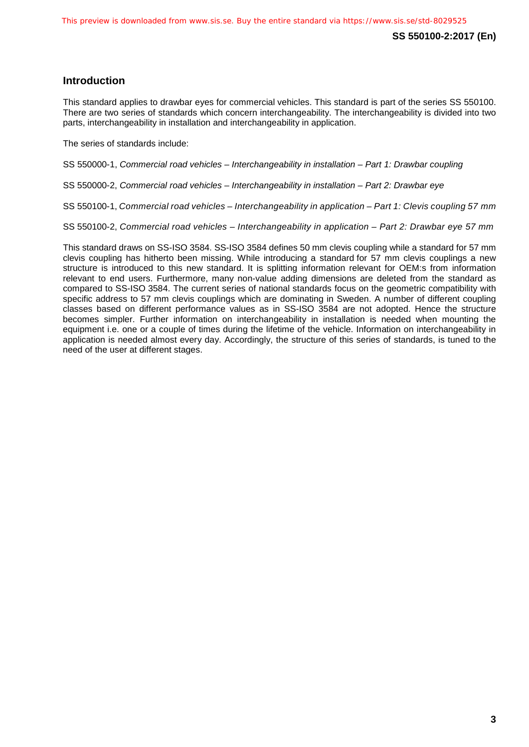## <span id="page-4-0"></span>**Introduction**

This standard applies to drawbar eyes for commercial vehicles. This standard is part of the series SS 550100. There are two series of standards which concern interchangeability. The interchangeability is divided into two parts, interchangeability in installation and interchangeability in application.

The series of standards include:

SS 550000-1, *Commercial road vehicles – Interchangeability in installation – Part 1: Drawbar coupling*

SS 550000-2, *Commercial road vehicles – Interchangeability in installation – Part 2: Drawbar eye*

SS 550100-1, *Commercial road vehicles – Interchangeability in application – Part 1: Clevis coupling 57 mm*

SS 550100-2, *Commercial road vehicles – Interchangeability in application – Part 2: Drawbar eye 57 mm*

This standard draws on SS-ISO 3584. SS-ISO 3584 defines 50 mm clevis coupling while a standard for 57 mm clevis coupling has hitherto been missing. While introducing a standard for 57 mm clevis couplings a new structure is introduced to this new standard. It is splitting information relevant for OEM:s from information relevant to end users. Furthermore, many non-value adding dimensions are deleted from the standard as compared to SS-ISO 3584. The current series of national standards focus on the geometric compatibility with specific address to 57 mm clevis couplings which are dominating in Sweden. A number of different coupling classes based on different performance values as in SS-ISO 3584 are not adopted. Hence the structure becomes simpler. Further information on interchangeability in installation is needed when mounting the equipment i.e. one or a couple of times during the lifetime of the vehicle. Information on interchangeability in application is needed almost every day. Accordingly, the structure of this series of standards, is tuned to the need of the user at different stages.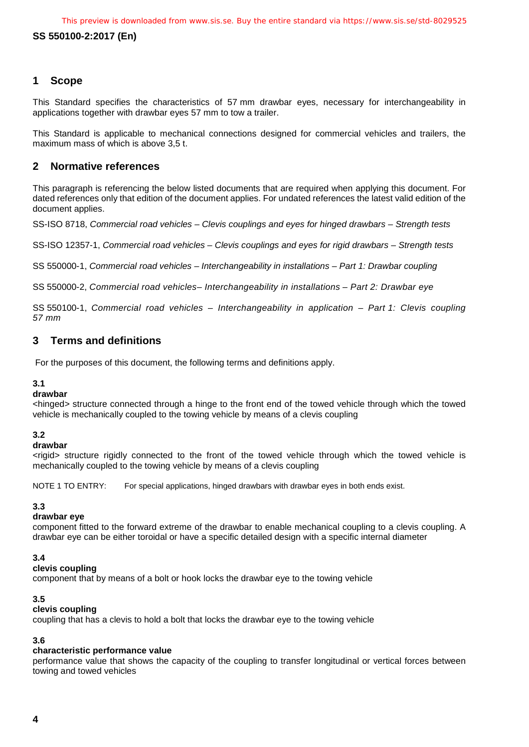## <span id="page-5-0"></span>**1 Scope**

This Standard specifies the characteristics of 57 mm drawbar eyes, necessary for interchangeability in applications together with drawbar eyes 57 mm to tow a trailer.

This Standard is applicable to mechanical connections designed for commercial vehicles and trailers, the maximum mass of which is above 3,5 t.

## <span id="page-5-1"></span>**2 Normative references**

This paragraph is referencing the below listed documents that are required when applying this document. For dated references only that edition of the document applies. For undated references the latest valid edition of the document applies.

SS-ISO 8718, *Commercial road vehicles – Clevis couplings and eyes for hinged drawbars – Strength tests*

SS-ISO 12357-1, *Commercial road vehicles – Clevis couplings and eyes for rigid drawbars – Strength tests*

SS 550000-1, *Commercial road vehicles – Interchangeability in installations – Part 1: Drawbar coupling*

SS 550000-2, *Commercial road vehicles– Interchangeability in installations – Part 2: Drawbar eye*

SS 550100-1, *Commercial road vehicles – Interchangeability in application – Part 1: Clevis coupling 57 mm*

## <span id="page-5-2"></span>**3 Terms and definitions**

For the purposes of this document, the following terms and definitions apply.

#### **3.1**

#### **drawbar**

<hinged> structure connected through a hinge to the front end of the towed vehicle through which the towed vehicle is mechanically coupled to the towing vehicle by means of a clevis coupling

#### **3.2**

**drawbar**

<rigid> structure rigidly connected to the front of the towed vehicle through which the towed vehicle is mechanically coupled to the towing vehicle by means of a clevis coupling

NOTE 1 TO ENTRY: For special applications, hinged drawbars with drawbar eyes in both ends exist.

## **3.3**

#### **drawbar eye**

component fitted to the forward extreme of the drawbar to enable mechanical coupling to a clevis coupling. A drawbar eye can be either toroidal or have a specific detailed design with a specific internal diameter

#### **3.4**

#### **clevis coupling**

component that by means of a bolt or hook locks the drawbar eye to the towing vehicle

#### **3.5**

#### **clevis coupling**

coupling that has a clevis to hold a bolt that locks the drawbar eye to the towing vehicle

## **3.6**

## **characteristic performance value**

performance value that shows the capacity of the coupling to transfer longitudinal or vertical forces between towing and towed vehicles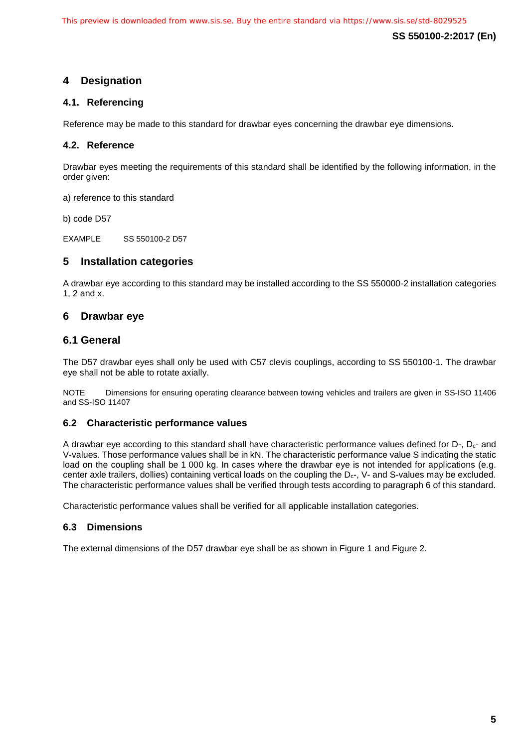## <span id="page-6-0"></span>**4 Designation**

## <span id="page-6-1"></span>**4.1. Referencing**

Reference may be made to this standard for drawbar eyes concerning the drawbar eye dimensions.

## <span id="page-6-2"></span>**4.2. Reference**

Drawbar eyes meeting the requirements of this standard shall be identified by the following information, in the order given:

a) reference to this standard

b) code D57

EXAMPLE SS 550100-2 D57

## <span id="page-6-3"></span>**5 Installation categories**

A drawbar eye according to this standard may be installed according to the SS 550000-2 installation categories 1, 2 and x.

## <span id="page-6-4"></span>**6 Drawbar eye**

## <span id="page-6-5"></span>**6.1 General**

The D57 drawbar eyes shall only be used with C57 clevis couplings, according to SS 550100-1. The drawbar eye shall not be able to rotate axially.

NOTE Dimensions for ensuring operating clearance between towing vehicles and trailers are given in SS-ISO 11406 and SS-ISO 11407

## <span id="page-6-6"></span>**6.2 Characteristic performance values**

A drawbar eye according to this standard shall have characteristic performance values defined for  $D_{\tau}$ ,  $D_{c}$ - and V-values. Those performance values shall be in kN. The characteristic performance value S indicating the static load on the coupling shall be 1 000 kg. In cases where the drawbar eye is not intended for applications (e.g. center axle trailers, dollies) containing vertical loads on the coupling the  $D_{c}$ -, V- and S-values may be excluded. The characteristic performance values shall be verified through tests according to paragraph 6 of this standard.

Characteristic performance values shall be verified for all applicable installation categories.

## <span id="page-6-7"></span>**6.3 Dimensions**

The external dimensions of the D57 drawbar eye shall be as shown in Figure 1 and Figure 2.